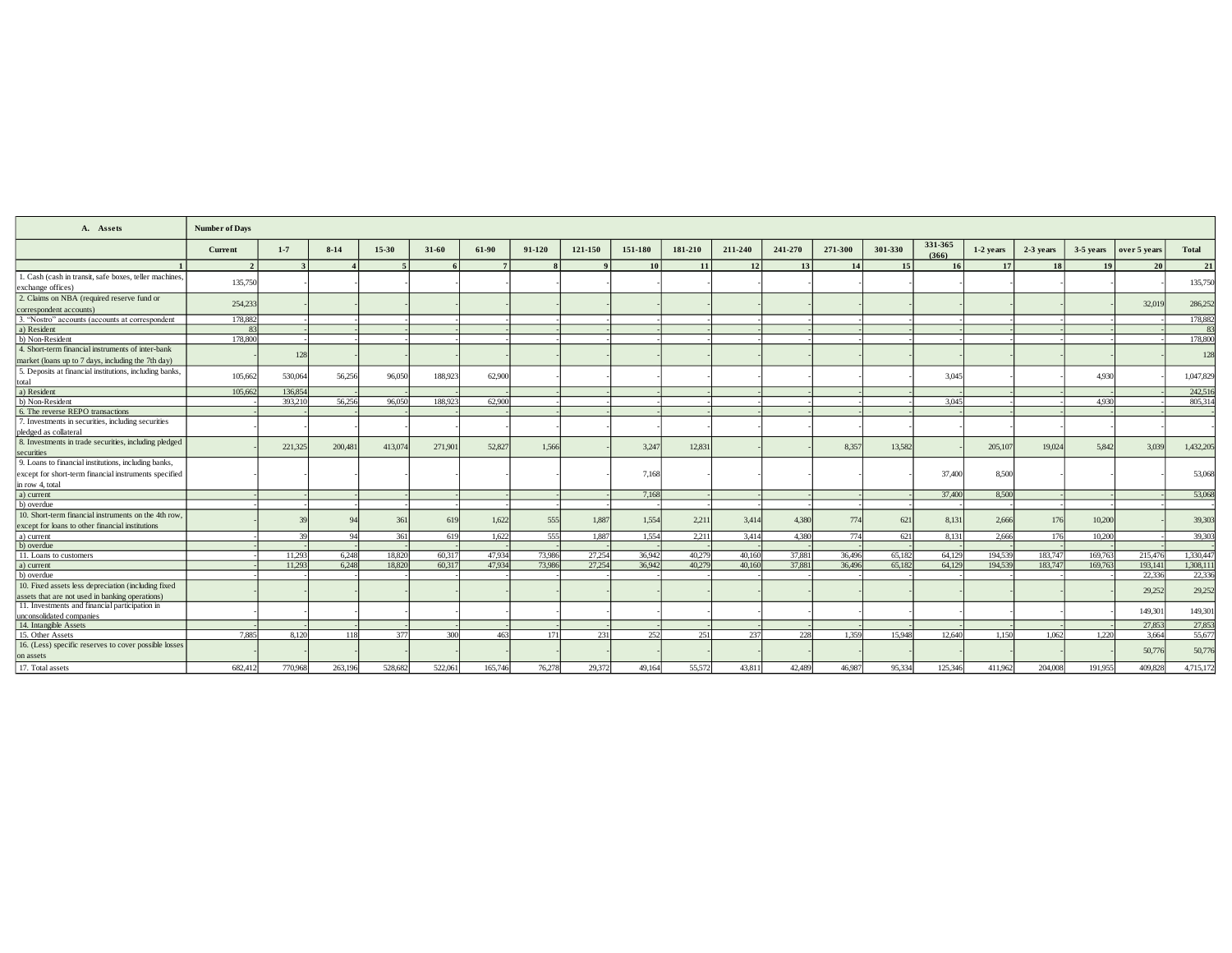| A. Assets                                                          | <b>Number of Days</b> |         |          |         |         |         |          |         |         |         |         |         |         |                 |                  |             |           |           |              |              |
|--------------------------------------------------------------------|-----------------------|---------|----------|---------|---------|---------|----------|---------|---------|---------|---------|---------|---------|-----------------|------------------|-------------|-----------|-----------|--------------|--------------|
|                                                                    | Current               | $1 - 7$ | $8 - 14$ | 15-30   | $31-60$ | $61-90$ | $91-120$ | 121-150 | 151-180 | 181-210 | 211-240 | 241-270 | 271-300 | 301-330         | 331-365<br>(366) | $1-2$ years | 2-3 years | 3-5 years | over 5 years | <b>Total</b> |
|                                                                    | $\overline{2}$        |         |          |         |         |         |          |         | 10      | 11      | 12      | 13      | 14      | 15 <sup>1</sup> | 16               | 17          | 18        | 19        | 20           | 21           |
| 1. Cash (cash in transit, safe boxes, teller machines,             | 135,750               |         |          |         |         |         |          |         |         |         |         |         |         |                 |                  |             |           |           |              | 135,750      |
| exchange offices)                                                  |                       |         |          |         |         |         |          |         |         |         |         |         |         |                 |                  |             |           |           |              |              |
| 2. Claims on NBA (required reserve fund or                         | 254,233               |         |          |         |         |         |          |         |         |         |         |         |         |                 |                  |             |           |           | 32,019       | 286,252      |
| correspondent accounts)                                            |                       |         |          |         |         |         |          |         |         |         |         |         |         |                 |                  |             |           |           |              |              |
| 3. "Nostro" accounts (accounts at correspondent                    | 178,882               |         |          |         |         |         |          |         |         |         |         |         |         |                 |                  |             |           |           |              | 178,882      |
| a) Resident                                                        | 83                    |         |          |         |         |         |          |         |         |         |         |         |         |                 |                  |             |           |           |              |              |
| b) Non-Resident                                                    | 178,800               |         |          |         |         |         |          |         |         |         |         |         |         |                 |                  |             |           |           |              | 178,800      |
| 4. Short-term financial instruments of inter-bank                  |                       | 128     |          |         |         |         |          |         |         |         |         |         |         |                 |                  |             |           |           |              | 128          |
| market (loans up to 7 days, including the 7th day)                 |                       |         |          |         |         |         |          |         |         |         |         |         |         |                 |                  |             |           |           |              |              |
| 5. Deposits at financial institutions, including banks,            | 105.662               | 530,064 | 56,256   | 96,050  | 188,923 | 62,900  |          |         |         |         |         |         |         |                 | 3.045            |             |           | 4.930     |              | 1,047,829    |
| total                                                              |                       |         |          |         |         |         |          |         |         |         |         |         |         |                 |                  |             |           |           |              |              |
| a) Resident                                                        | 105,662               | 136,854 |          |         |         |         |          |         |         |         |         |         |         |                 |                  |             |           |           |              | 242,516      |
| b) Non-Resident                                                    |                       | 393,210 | 56,256   | 96,050  | 188,923 | 62,900  |          |         |         |         |         |         |         |                 | 3.045            |             |           | 4.930     |              | 805.31       |
| 6. The reverse REPO transactions                                   |                       |         |          |         |         |         |          |         |         |         |         |         |         |                 |                  |             |           |           |              |              |
| 7. Investments in securities, including securities                 |                       |         |          |         |         |         |          |         |         |         |         |         |         |                 |                  |             |           |           |              |              |
| pledged as collateral                                              |                       |         |          |         |         |         |          |         |         |         |         |         |         |                 |                  |             |           |           |              |              |
| 8. Investments in trade securities, including pledged              |                       | 221,325 | 200,481  | 413,074 | 271,901 | 52,827  | 1.566    |         | 3.247   | 12,831  |         |         | 8.357   | 13.582          |                  | 205,107     | 19,024    | 5.842     | 3.039        | 1,432,205    |
| securities                                                         |                       |         |          |         |         |         |          |         |         |         |         |         |         |                 |                  |             |           |           |              |              |
| 9. Loans to financial institutions, including banks,               |                       |         |          |         |         |         |          |         |         |         |         |         |         |                 |                  |             |           |           |              |              |
| except for short-term financial instruments specified              |                       |         |          |         |         |         |          |         | 7.168   |         |         |         |         |                 | 37,400           | 8.500       |           |           |              | 53,068       |
| in row 4, total                                                    |                       |         |          |         |         |         |          |         |         |         |         |         |         |                 |                  |             |           |           |              |              |
| a) current                                                         |                       |         |          |         |         |         |          |         | 7.168   |         |         |         |         |                 | 37,400           | 8.500       |           |           |              | 53,068       |
| b) overdue                                                         |                       |         |          |         |         |         |          |         |         |         |         |         |         |                 |                  |             |           |           |              |              |
| 10. Short-term financial instruments on the 4th row                |                       |         | $\alpha$ | 361     | 619     | 1.622   | 555      | 1.887   | 1.554   | 2,211   | 3.414   | 4.380   | 774     | 621             | 8.131            | 2.666       | 176       | 10.200    |              | 39,303       |
| except for loans to other financial institutions                   |                       |         |          |         |         |         |          |         |         |         |         |         |         |                 |                  |             |           |           |              |              |
| a) current                                                         |                       | 39      | $Q_4$    | 361     | 619     | 1.622   | 555      | 1.887   | 1.554   | 2,211   | 3,414   | 4.380   | 774     | 621             | 8.131            | 2.666       | 176       | 10.200    |              | 39,303       |
| b) overdue                                                         |                       |         |          |         |         |         |          |         |         |         |         |         |         |                 |                  |             |           |           |              |              |
| 11. Loans to customers                                             |                       | 11.293  | 6.248    | 18.820  | 60,317  | 47.934  | 73,986   | 27.254  | 36,942  | 40.279  | 40.160  | 37,881  | 36,496  | 65.182          | 64.129           | 194.539     | 183,747   | 169,763   | 215,476      | 1,330,44     |
| a) current                                                         |                       | 11.293  | 6.248    | 18.820  | 60.317  | 47.934  | 73,986   | 27.254  | 36,942  | 40.279  | 40,160  | 37,881  | 36,496  | 65.182          | 64,129           | 194.539     | 183,747   | 169,763   | 193,141      | 1,308,11     |
| b) overdue                                                         |                       |         |          |         |         |         |          |         |         |         |         |         |         |                 |                  |             |           |           | 22,336       | 22,336       |
| 10. Fixed assets less depreciation (including fixed                |                       |         |          |         |         |         |          |         |         |         |         |         |         |                 |                  |             |           |           | 29,252       | 29,252       |
| assets that are not used in banking operations)                    |                       |         |          |         |         |         |          |         |         |         |         |         |         |                 |                  |             |           |           |              |              |
| 11. Investments and financial participation in                     |                       |         |          |         |         |         |          |         |         |         |         |         |         |                 |                  |             |           |           | 149,301      | 149,301      |
| unconsolidated companies                                           |                       |         |          |         |         |         |          |         |         |         |         |         |         |                 |                  |             |           |           |              |              |
| 14. Intangible Assets                                              |                       |         |          |         |         |         |          |         |         |         |         |         |         |                 |                  |             |           |           | 27,853       | 27,853       |
| 15. Other Assets                                                   | 7,885                 | 8.120   | 118      | 377     | 300     | 463     | 171      | 231     | 252     | 251     | 237     | 228     | 1.359   | 15.948          | 12,640           | 1.150       | 1.062     | 1.220     | 3.664        | 55,67        |
| 16. (Less) specific reserves to cover possible losses<br>on assets |                       |         |          |         |         |         |          |         |         |         |         |         |         |                 |                  |             |           |           | 50,776       | 50,776       |
| 17. Total assets                                                   | 682.412               | 770,968 | 263,196  | 528,682 | 522,061 | 165,746 | 76.278   | 29,372  | 49.164  | 55,572  | 43.811  | 42,489  | 46,987  | 95.334          | 125,346          | 411,962     | 204,008   | 191.955   | 409,828      | 4,715,172    |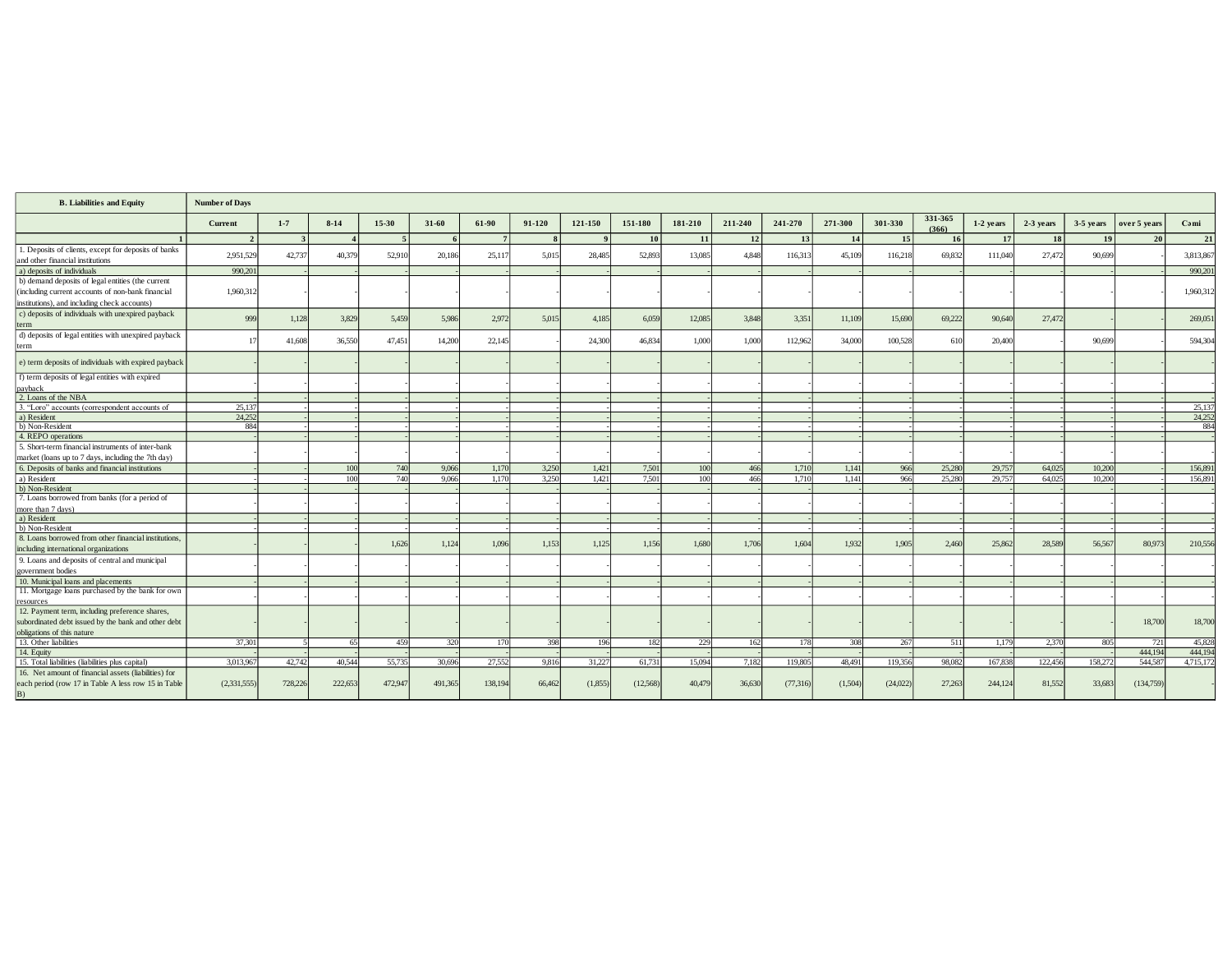| <b>B.</b> Liabilities and Equity                                                                            | <b>Number of Days</b> |         |          |                |           |         |        |         |           |         |         |           |         |                 |                  |           |           |             |              |               |
|-------------------------------------------------------------------------------------------------------------|-----------------------|---------|----------|----------------|-----------|---------|--------|---------|-----------|---------|---------|-----------|---------|-----------------|------------------|-----------|-----------|-------------|--------------|---------------|
|                                                                                                             | Current               | $1 - 7$ | $8 - 14$ | 15-30          | $31 - 60$ | 61-90   | 91-120 | 121-150 | 151-180   | 181-210 | 211-240 | 241-270   | 271-300 | 301-330         | 331-365<br>(366) | 1-2 years | 2-3 years | $3-5$ years | over 5 years | Cəmi          |
|                                                                                                             | $\mathcal{D}$         |         |          | $\overline{5}$ |           |         |        |         | <b>10</b> | 11      | 12      | 13        | 14      | 15 <sup>1</sup> | 16               | 17        | <b>18</b> | 19          | 20           | 21            |
| 1. Deposits of clients, except for deposits of banks<br>and other financial institutions                    | 2,951,529             | 42,737  | 40,379   | 52,910         | 20,186    | 25,117  | 5,015  | 28,485  | 52,893    | 13,085  | 4,848   | 116,313   | 45,109  | 116,218         | 69,832           | 111,040   | 27,472    | 90,699      |              | 3,813,867     |
| a) deposits of individuals                                                                                  | 990.201               |         |          |                |           |         |        |         |           |         |         |           |         |                 |                  |           |           |             |              | 990.20        |
| b) demand deposits of legal entities (the current                                                           |                       |         |          |                |           |         |        |         |           |         |         |           |         |                 |                  |           |           |             |              |               |
| (including current accounts of non-bank financial                                                           | 1,960,312             |         |          |                |           |         |        |         |           |         |         |           |         |                 |                  |           |           |             |              | 1,960,312     |
| institutions), and including check accounts)                                                                |                       |         |          |                |           |         |        |         |           |         |         |           |         |                 |                  |           |           |             |              |               |
| c) deposits of individuals with unexpired payback                                                           |                       |         |          |                |           |         |        |         |           |         |         |           |         |                 |                  |           |           |             |              |               |
| term                                                                                                        | 999                   | 1,128   | 3,829    | 5,459          | 5,986     | 2,972   | 5,015  | 4,185   | 6,059     | 12,085  | 3,848   | 3,351     | 11,109  | 15,690          | 69,222           | 90,640    | 27,472    |             |              | 269,051       |
| d) deposits of legal entities with unexpired payback                                                        |                       |         |          |                |           |         |        |         |           |         |         |           |         |                 |                  |           |           |             |              |               |
| term                                                                                                        | 17                    | 41,608  | 36,550   | 47,451         | 14,200    | 22,145  |        | 24,300  | 46,834    | 1,000   | 1,000   | 112,962   | 34,000  | 100.528         | 610              | 20,400    |           | 90,699      |              | 594,304       |
|                                                                                                             |                       |         |          |                |           |         |        |         |           |         |         |           |         |                 |                  |           |           |             |              |               |
| e) term deposits of individuals with expired payback                                                        |                       |         |          |                |           |         |        |         |           |         |         |           |         |                 |                  |           |           |             |              |               |
| f) term deposits of legal entities with expired                                                             |                       |         |          |                |           |         |        |         |           |         |         |           |         |                 |                  |           |           |             |              |               |
| payback                                                                                                     |                       |         |          |                |           |         |        |         |           |         |         |           |         |                 |                  |           |           |             |              |               |
| 2. Loans of the NBA                                                                                         |                       |         |          |                |           |         |        |         |           |         |         |           |         |                 |                  |           |           |             |              |               |
| 3. "Loro" accounts (correspondent accounts of                                                               | 25,137                |         |          |                |           |         |        |         |           |         |         |           |         |                 |                  |           |           |             |              | 25,137        |
| a) Resident<br>b) Non-Resident                                                                              | 24.252<br>884         |         |          |                |           |         |        |         |           |         |         |           |         |                 |                  |           |           |             |              | 24,252<br>884 |
| 4. REPO operations                                                                                          |                       |         |          |                |           |         |        |         |           |         |         |           |         |                 |                  |           |           |             |              |               |
| 5. Short-term financial instruments of inter-bank                                                           |                       |         |          |                |           |         |        |         |           |         |         |           |         |                 |                  |           |           |             |              |               |
| market (loans up to 7 days, including the 7th day)                                                          |                       |         |          |                |           |         |        |         |           |         |         |           |         |                 |                  |           |           |             |              |               |
| 6. Deposits of banks and financial institutions                                                             |                       |         | 100      | 740            | 9.066     | 1.170   | 3.250  | 1.421   | 7,501     | 100     | 466     | 1.710     | 1.141   | 966             | 25,280           | 29,757    | 64,025    | 10.200      |              | 156,89        |
| a) Resident                                                                                                 |                       |         | 100      | 740            | 9,066     | 1.170   | 3,250  | 1,421   | 7,501     | 100     | 466     | 1,710     | 1,141   | 966             | 25,280           | 29,757    | 64,025    | 10.200      |              | 156,89        |
| b) Non-Resident                                                                                             |                       |         |          |                |           |         |        |         |           |         |         |           |         |                 |                  |           |           |             |              |               |
| 7. Loans borrowed from banks (for a period of                                                               |                       |         |          |                |           |         |        |         |           |         |         |           |         |                 |                  |           |           |             |              |               |
| more than 7 days)                                                                                           |                       |         |          |                |           |         |        |         |           |         |         |           |         |                 |                  |           |           |             |              |               |
| a) Resident                                                                                                 |                       |         |          |                |           |         |        |         |           |         |         |           |         |                 |                  |           |           |             |              |               |
| b) Non-Resident                                                                                             |                       |         |          |                |           |         |        |         |           |         |         |           |         |                 |                  |           |           |             |              |               |
| 8. Loans borrowed from other financial institutions.                                                        |                       |         |          |                |           |         |        |         |           |         |         |           |         |                 |                  |           |           |             |              |               |
| including international organizations                                                                       |                       |         |          | 1,626          | 1,124     | 1,096   | 1.153  | 1.125   | 1.156     | 1,680   | 1,706   | 1,604     | 1.932   | 1.905           | 2,460            | 25,862    | 28,589    | 56,567      | 80,973       | 210,556       |
| 9. Loans and deposits of central and municipal                                                              |                       |         |          |                |           |         |        |         |           |         |         |           |         |                 |                  |           |           |             |              |               |
| government bodies                                                                                           |                       |         |          |                |           |         |        |         |           |         |         |           |         |                 |                  |           |           |             |              |               |
| 10. Municipal loans and placements                                                                          |                       |         |          |                |           |         |        |         |           |         |         |           |         |                 |                  |           |           |             |              |               |
| 11. Mortgage loans purchased by the bank for own                                                            |                       |         |          |                |           |         |        |         |           |         |         |           |         |                 |                  |           |           |             |              |               |
| resources                                                                                                   |                       |         |          |                |           |         |        |         |           |         |         |           |         |                 |                  |           |           |             |              |               |
| 12. Payment term, including preference shares,                                                              |                       |         |          |                |           |         |        |         |           |         |         |           |         |                 |                  |           |           |             |              |               |
| subordinated debt issued by the bank and other debt                                                         |                       |         |          |                |           |         |        |         |           |         |         |           |         |                 |                  |           |           |             | 18,700       | 18,700        |
| obligations of this nature                                                                                  |                       |         |          |                |           |         |        |         |           |         |         |           |         |                 |                  |           |           |             |              |               |
| 13. Other liabilities                                                                                       | 37.301                |         | 65       | 459            | 320       | 170     | 398    | 196     | 182       | 229     | 162     | 178       | 308     | 267             | 511              | 1.179     | 2,370     | 805         | 721          | 45,82         |
| 14. Equity                                                                                                  |                       |         |          |                |           |         |        |         |           |         |         |           |         |                 |                  |           |           |             | 444,194      | 444,194       |
| 15. Total liabilities (liabilities plus capital)                                                            | 3,013,967             | 42,742  | 40,544   | 55,735         | 30,696    | 27.552  | 9,816  | 31,227  | 61,731    | 15,094  | 7,182   | 119,805   | 48,491  | 119,356         | 98,082           | 167,838   | 122,456   | 158,272     | 544,587      | 4,715,17      |
| 16. Net amount of financial assets (liabilities) for<br>each period (row 17 in Table A less row 15 in Table | (2,331,555)           | 728,226 | 222,653  | 472,947        | 491,365   | 138,194 | 66,462 | (1,855) | (12,568)  | 40,479  | 36,630  | (77, 316) | (1,504) | (24,022)        | 27,263           | 244,124   | 81,552    | 33,683      | (134,759)    |               |
| B)                                                                                                          |                       |         |          |                |           |         |        |         |           |         |         |           |         |                 |                  |           |           |             |              |               |